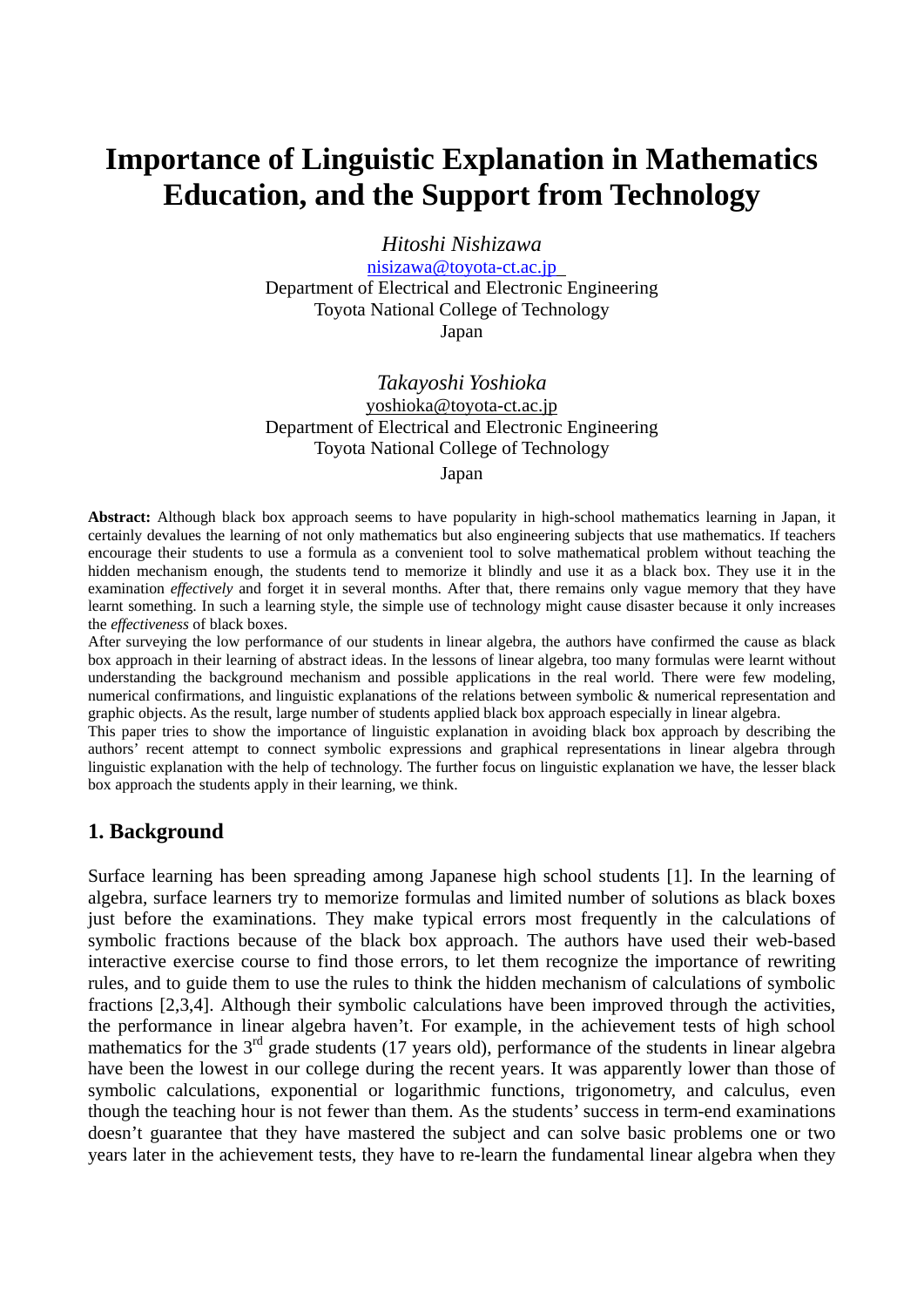# **Importance of Linguistic Explanation in Mathematics Education, and the Support from Technology**

*Hitoshi Nishizawa*

[nisizawa@toyota-ct.ac.jp](mailto:nisizawa@toyota-ct.ac.jp) Department of Electrical and Electronic Engineering Toyota National College of Technology

Japan

*Takayoshi Yoshioka*  yoshioka@toyota-ct.ac.jp Department of Electrical and Electronic Engineering Toyota National College of Technology Japan

**Abstract:** Although black box approach seems to have popularity in high-school mathematics learning in Japan, it certainly devalues the learning of not only mathematics but also engineering subjects that use mathematics. If teachers encourage their students to use a formula as a convenient tool to solve mathematical problem without teaching the hidden mechanism enough, the students tend to memorize it blindly and use it as a black box. They use it in the examination *effectively* and forget it in several months. After that, there remains only vague memory that they have learnt something. In such a learning style, the simple use of technology might cause disaster because it only increases the *effectiveness* of black boxes.

After surveying the low performance of our students in linear algebra, the authors have confirmed the cause as black box approach in their learning of abstract ideas. In the lessons of linear algebra, too many formulas were learnt without understanding the background mechanism and possible applications in the real world. There were few modeling, numerical confirmations, and linguistic explanations of the relations between symbolic & numerical representation and graphic objects. As the result, large number of students applied black box approach especially in linear algebra.

This paper tries to show the importance of linguistic explanation in avoiding black box approach by describing the authors' recent attempt to connect symbolic expressions and graphical representations in linear algebra through linguistic explanation with the help of technology. The further focus on linguistic explanation we have, the lesser black box approach the students apply in their learning, we think.

## **1. Background**

Surface learning has been spreading among Japanese high school students [1]. In the learning of algebra, surface learners try to memorize formulas and limited number of solutions as black boxes just before the examinations. They make typical errors most frequently in the calculations of symbolic fractions because of the black box approach. The authors have used their web-based interactive exercise course to find those errors, to let them recognize the importance of rewriting rules, and to guide them to use the rules to think the hidden mechanism of calculations of symbolic fractions [2,3,4]. Although their symbolic calculations have been improved through the activities, the performance in linear algebra haven't. For example, in the achievement tests of high school mathematics for the  $3<sup>rd</sup>$  grade students (17 years old), performance of the students in linear algebra have been the lowest in our college during the recent years. It was apparently lower than those of symbolic calculations, exponential or logarithmic functions, trigonometry, and calculus, even though the teaching hour is not fewer than them. As the students' success in term-end examinations doesn't guarantee that they have mastered the subject and can solve basic problems one or two years later in the achievement tests, they have to re-learn the fundamental linear algebra when they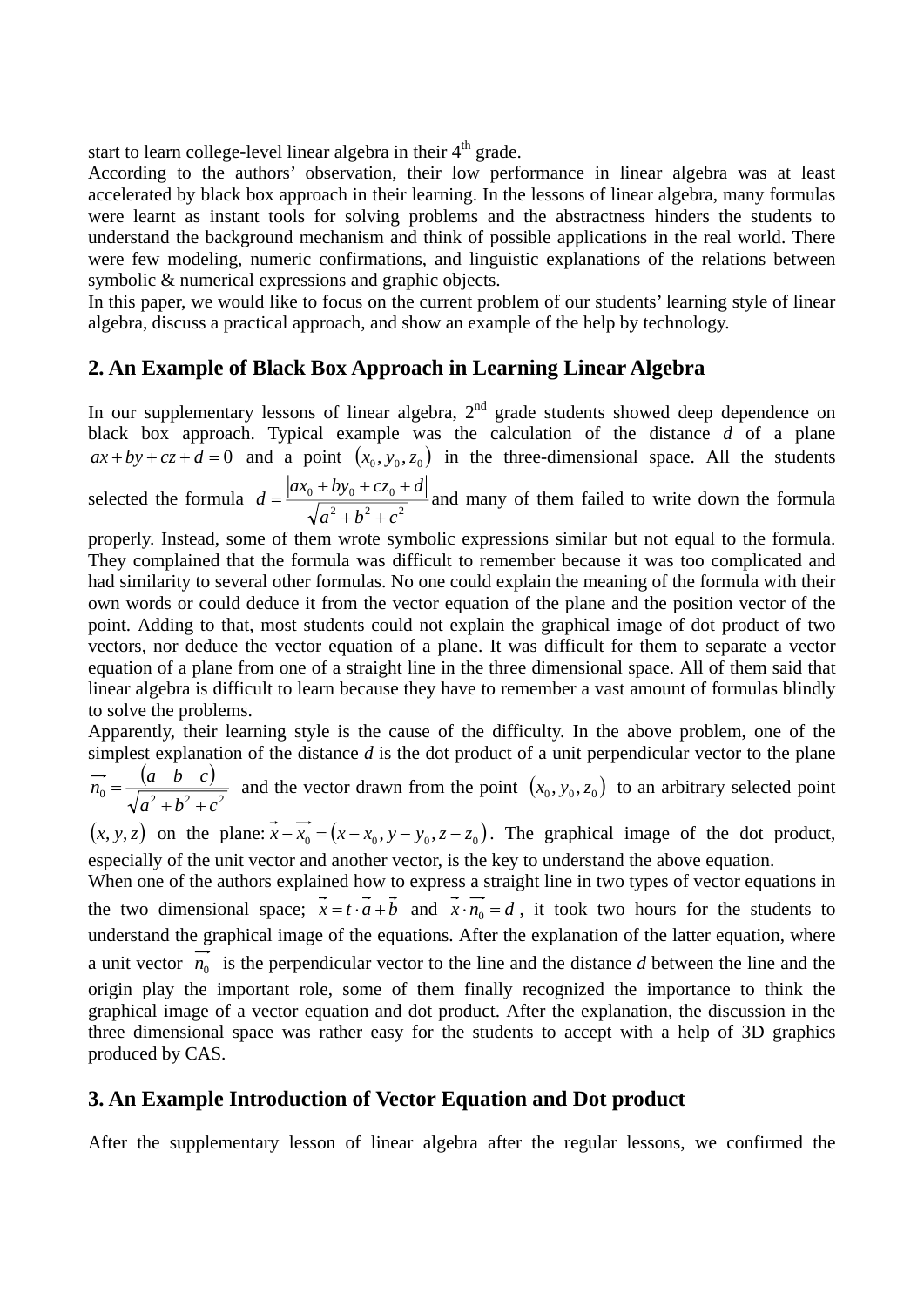start to learn college-level linear algebra in their 4<sup>th</sup> grade.

According to the authors' observation, their low performance in linear algebra was at least accelerated by black box approach in their learning. In the lessons of linear algebra, many formulas were learnt as instant tools for solving problems and the abstractness hinders the students to understand the background mechanism and think of possible applications in the real world. There were few modeling, numeric confirmations, and linguistic explanations of the relations between symbolic & numerical expressions and graphic objects.

In this paper, we would like to focus on the current problem of our students' learning style of linear algebra, discuss a practical approach, and show an example of the help by technology.

## **2. An Example of Black Box Approach in Learning Linear Algebra**

In our supplementary lessons of linear algebra,  $2<sup>nd</sup>$  grade students showed deep dependence on black box approach. Typical example was the calculation of the distance *d* of a plane  $ax + by + cz + d = 0$  and a point  $(x_0, y_0, z_0)$  in the three-dimensional space. All the students

selected the formula  $d = \frac{|w_0 + by_0 + cz_0|}{\sqrt{a^2 + b^2 + c^2}}$  $_{0}$  +  $\omega y_{0}$  +  $\omega_{0}$  $a^2 + b^2 + c$  $d = \frac{|ax_0 + by_0 + cz_0 + d|}{\sqrt{ax_0 + bx_0^2}}$  $+b^2 +$  $=\frac{|ax_0+by_0+cz_0+d|}{\sqrt{ax_0+ay_0+ay_0}}$  and many of them failed to write down the formula

properly. Instead, some of them wrote symbolic expressions similar but not equal to the formula. They complained that the formula was difficult to remember because it was too complicated and had similarity to several other formulas. No one could explain the meaning of the formula with their own words or could deduce it from the vector equation of the plane and the position vector of the point. Adding to that, most students could not explain the graphical image of dot product of two vectors, nor deduce the vector equation of a plane. It was difficult for them to separate a vector equation of a plane from one of a straight line in the three dimensional space. All of them said that linear algebra is difficult to learn because they have to remember a vast amount of formulas blindly to solve the problems.

Apparently, their learning style is the cause of the difficulty. In the above problem, one of the simplest explanation of the distance *d* is the dot product of a unit perpendicular vector to the plane  $(a \quad b \quad c)$  $0 = \sqrt{a^2 + b^2 + c^2}$  $\vec{n}_0 = \frac{(a \ b \ c)}{\sqrt{a^2 + b^2 + c^2}}$  and the vector drawn from the point  $(x_0, y_0, z_0)$  to an arbitrary selected point

 $(x, y, z)$  on the plane:  $\overrightarrow{x} - \overrightarrow{x_0} = (x - x_0, y - y_0, z - z_0)$ . The graphical image of the dot product, especially of the unit vector and another vector, is the key to understand the above equation.

When one of the authors explained how to express a straight line in two types of vector equations in the two dimensional space;  $\vec{x} = t \cdot \vec{a} + \vec{b}$  and  $\vec{x} \cdot \vec{n} = d$ , it took two hours for the students to understand the graphical image of the equations. After the explanation of the latter equation, where a unit vector  $\overrightarrow{n_0}$  is the perpendicular vector to the line and the distance *d* between the line and the origin play the important role, some of them finally recognized the importance to think the graphical image of a vector equation and dot product. After the explanation, the discussion in the three dimensional space was rather easy for the students to accept with a help of 3D graphics produced by CAS.

## **3. An Example Introduction of Vector Equation and Dot product**

After the supplementary lesson of linear algebra after the regular lessons, we confirmed the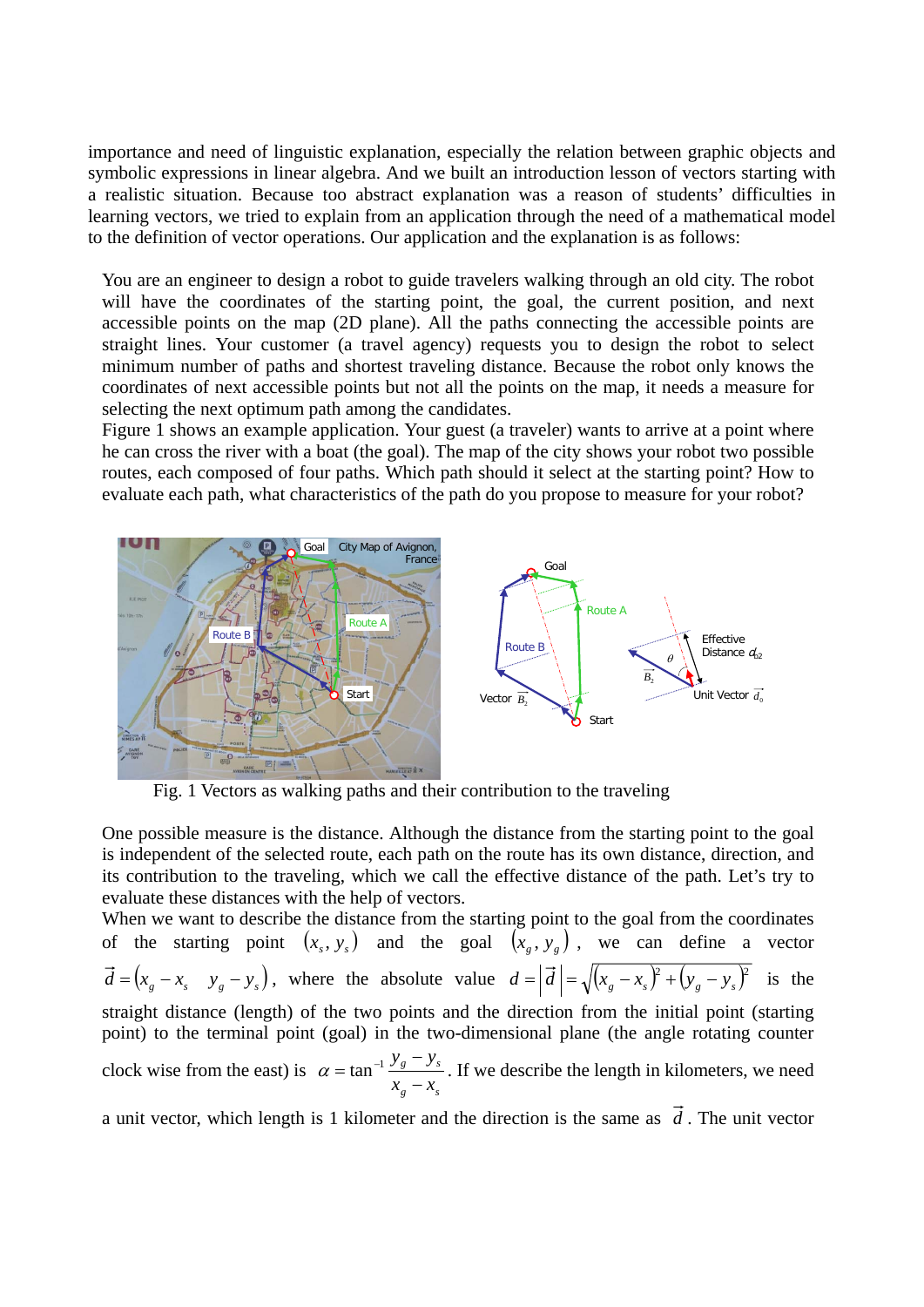importance and need of linguistic explanation, especially the relation between graphic objects and symbolic expressions in linear algebra. And we built an introduction lesson of vectors starting with a realistic situation. Because too abstract explanation was a reason of students' difficulties in learning vectors, we tried to explain from an application through the need of a mathematical model to the definition of vector operations. Our application and the explanation is as follows:

You are an engineer to design a robot to guide travelers walking through an old city. The robot will have the coordinates of the starting point, the goal, the current position, and next accessible points on the map (2D plane). All the paths connecting the accessible points are straight lines. Your customer (a travel agency) requests you to design the robot to select minimum number of paths and shortest traveling distance. Because the robot only knows the coordinates of next accessible points but not all the points on the map, it needs a measure for selecting the next optimum path among the candidates.

Figure 1 shows an example application. Your guest (a traveler) wants to arrive at a point where he can cross the river with a boat (the goal). The map of the city shows your robot two possible routes, each composed of four paths. Which path should it select at the starting point? How to evaluate each path, what characteristics of the path do you propose to measure for your robot?



Fig. 1 Vectors as walking paths and their contribution to the traveling

One possible measure is the distance. Although the distance from the starting point to the goal is independent of the selected route, each path on the route has its own distance, direction, and its contribution to the traveling, which we call the effective distance of the path. Let's try to evaluate these distances with the help of vectors.

When we want to describe the distance from the starting point to the goal from the coordinates of the starting point  $(x_s, y_s)$  and the goal  $(x_g, y_g)$ , we can define a vector  $\vec{d} = (x_g - x_g - y_g)$ , where the absolute value  $d = |\vec{d}| = \sqrt{(x_g - x_g)^2 + (y_g - y_g)^2}$  is the straight distance (length) of the two points and the direction from the initial point (starting point) to the terminal point (goal) in the two-dimensional plane (the angle rotating counter clock wise from the east) is  $g \sim$ s  $g = y_s$  $x_{\circ}$  – *x*  $y_{\textit{g}} - y$ −  $\alpha = \tan^{-1} \frac{y_g - y_s}{x}$ . If we describe the length in kilometers, we need

a unit vector, which length is 1 kilometer and the direction is the same as  $\vec{d}$ . The unit vector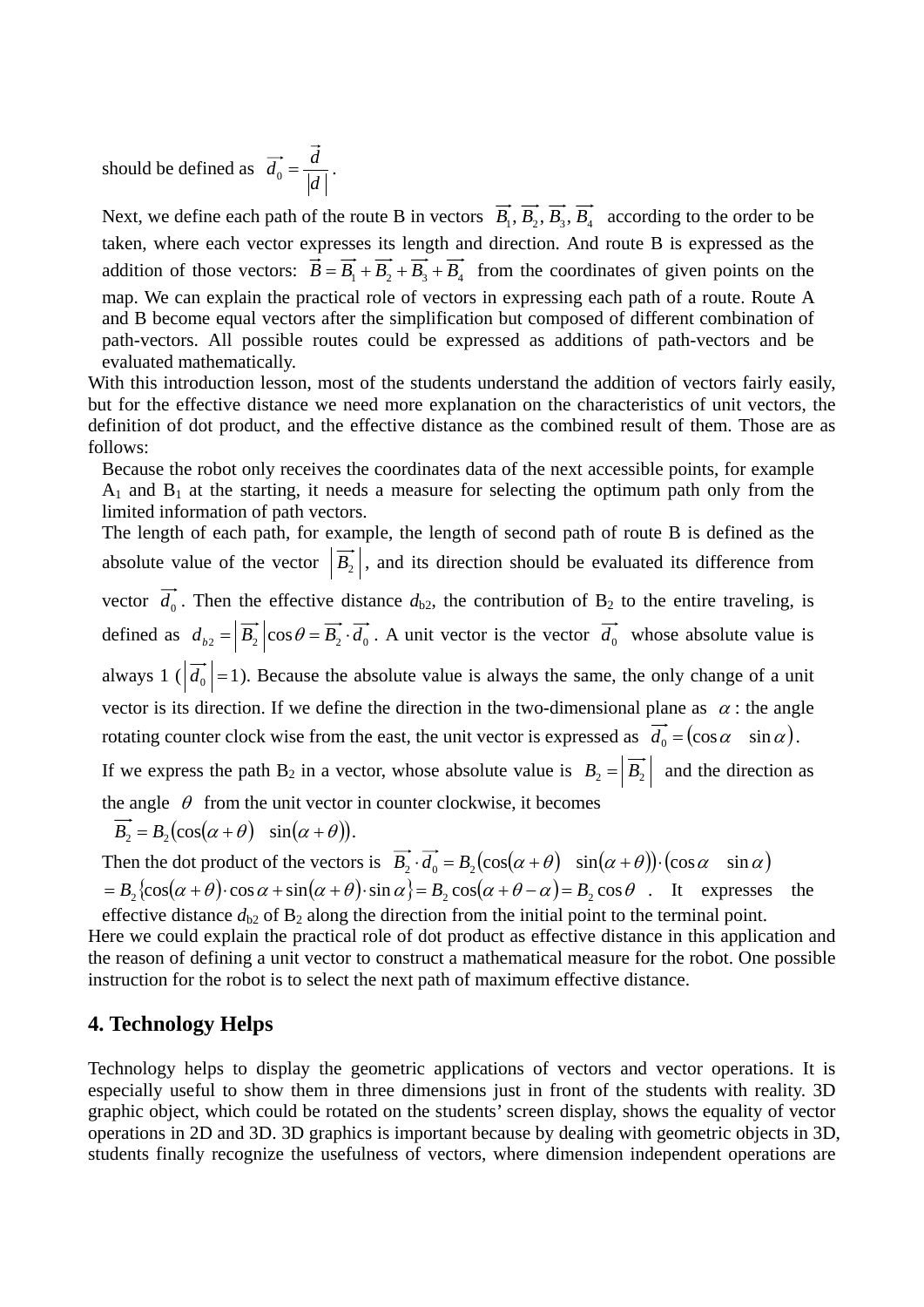should be defined as  $\overrightarrow{d_0} = \frac{d}{|d|}.$ 

Next, we define each path of the route B in vectors  $\overrightarrow{B_1}, \overrightarrow{B_2}, \overrightarrow{B_3}, \overrightarrow{B_4}$  according to the order to be taken, where each vector expresses its length and direction. And route B is expressed as the addition of those vectors:  $\vec{B} = \vec{B}_1 + \vec{B}_2 + \vec{B}_3 + \vec{B}_4$  from the coordinates of given points on the map. We can explain the practical role of vectors in expressing each path of a route. Route A and B become equal vectors after the simplification but composed of different combination of path-vectors. All possible routes could be expressed as additions of path-vectors and be evaluated mathematically.

With this introduction lesson, most of the students understand the addition of vectors fairly easily, but for the effective distance we need more explanation on the characteristics of unit vectors, the definition of dot product, and the effective distance as the combined result of them. Those are as follows:

Because the robot only receives the coordinates data of the next accessible points, for example  $A_1$  and  $B_1$  at the starting, it needs a measure for selecting the optimum path only from the limited information of path vectors.

The length of each path, for example, the length of second path of route B is defined as the absolute value of the vector  $\left|\vec{B_2}\right|$ , and its direction should be evaluated its difference from vector  $\overrightarrow{d_0}$ . Then the effective distance  $d_{b2}$ , the contribution of B<sub>2</sub> to the entire traveling, is defined as  $d_{b2} = |\vec{B_2}| \cos \theta = \vec{B_2} \cdot \vec{d_0}$ . A unit vector is the vector  $\vec{d_0}$  whose absolute value is always 1 ( $|\overrightarrow{d_0}|$  = 1). Because the absolute value is always the same, the only change of a unit vector is its direction. If we define the direction in the two-dimensional plane as  $\alpha$ : the angle rotating counter clock wise from the east, the unit vector is expressed as  $\vec{d}_0 = (\cos \alpha \sin \alpha)$ . If we express the path B<sub>2</sub> in a vector, whose absolute value is  $B_2 = \left| \overrightarrow{B_2} \right|$  and the direction as

the angle  $\theta$  from the unit vector in counter clockwise, it becomes

$$
\overrightarrow{B_2} = B_2(\cos(\alpha + \theta) \sin(\alpha + \theta)).
$$

Then the dot product of the vectors is  $\overrightarrow{B_2} \cdot \overrightarrow{d_0} = B_2(\cos(\alpha + \theta) \sin(\alpha + \theta)) \cdot (\cos \alpha \sin \alpha)$  $= B_2 \{ cos(\alpha + \theta) \cdot cos \alpha + sin(\alpha + \theta) \cdot sin \alpha \} = B_2 cos(\alpha + \theta - \alpha) = B_2 cos \theta$ . It expresses the

effective distance  $d_{b2}$  of  $B_2$  along the direction from the initial point to the terminal point. Here we could explain the practical role of dot product as effective distance in this application and the reason of defining a unit vector to construct a mathematical measure for the robot. One possible instruction for the robot is to select the next path of maximum effective distance.

#### **4. Technology Helps**

Technology helps to display the geometric applications of vectors and vector operations. It is especially useful to show them in three dimensions just in front of the students with reality. 3D graphic object, which could be rotated on the students' screen display, shows the equality of vector operations in 2D and 3D. 3D graphics is important because by dealing with geometric objects in 3D, students finally recognize the usefulness of vectors, where dimension independent operations are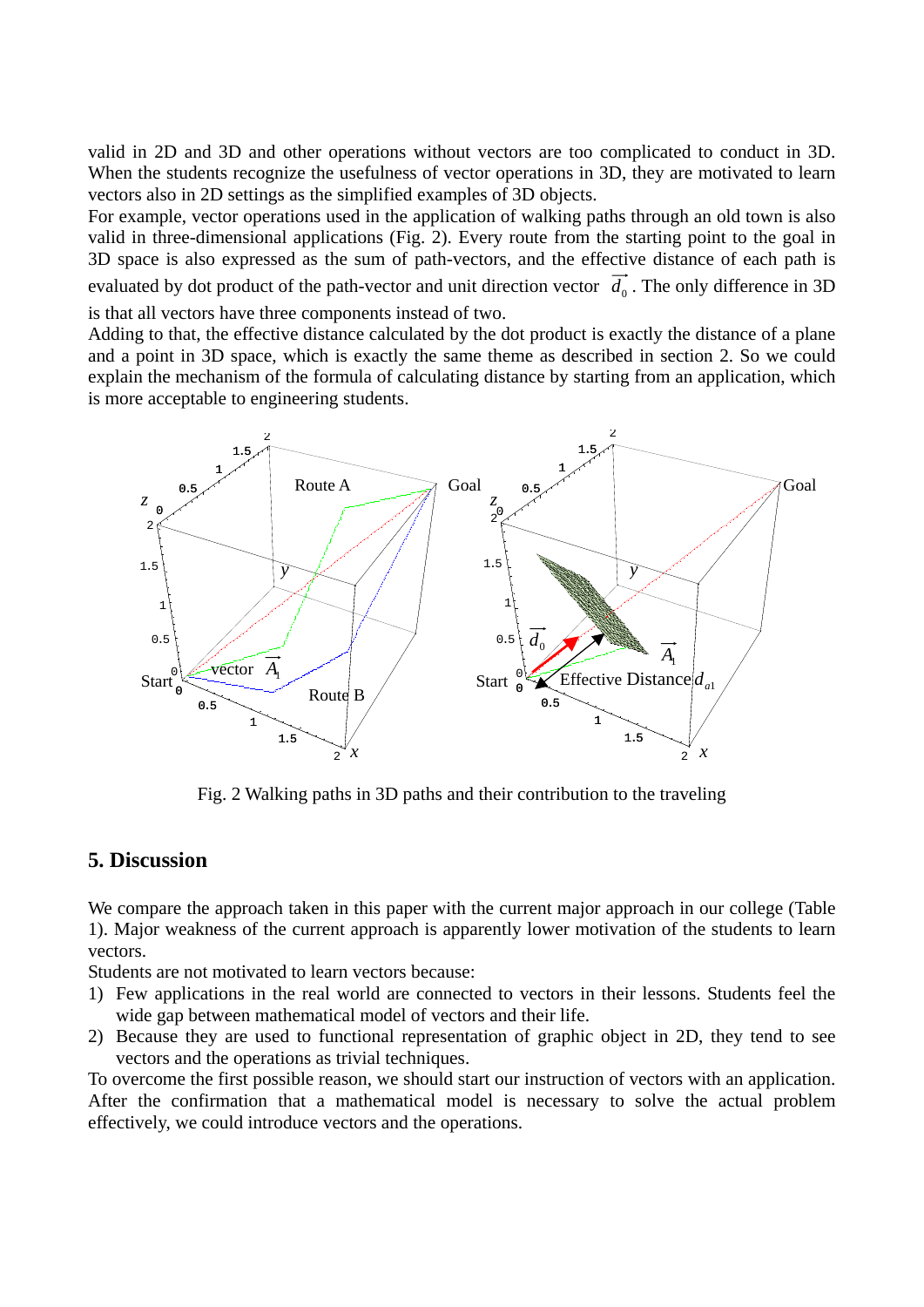valid in 2D and 3D and other operations without vectors are too complicated to conduct in 3D. When the students recognize the usefulness of vector operations in 3D, they are motivated to learn vectors also in 2D settings as the simplified examples of 3D objects.

For example, vector operations used in the application of walking paths through an old town is also valid in three-dimensional applications (Fig. 2). Every route from the starting point to the goal in 3D space is also expressed as the sum of path-vectors, and the effective distance of each path is evaluated by dot product of the path-vector and unit direction vector  $\overrightarrow{d_0}$ . The only difference in 3D is that all vectors have three components instead of two.

Adding to that, the effective distance calculated by the dot product is exactly the distance of a plane and a point in 3D space, which is exactly the same theme as described in section 2. So we could explain the mechanism of the formula of calculating distance by starting from an application, which is more acceptable to engineering students.



Fig. 2 Walking paths in 3D paths and their contribution to the traveling

#### **5. Discussion**

We compare the approach taken in this paper with the current major approach in our college (Table 1). Major weakness of the current approach is apparently lower motivation of the students to learn vectors.

Students are not motivated to learn vectors because:

- 1) Few applications in the real world are connected to vectors in their lessons. Students feel the wide gap between mathematical model of vectors and their life.
- 2) Because they are used to functional representation of graphic object in 2D, they tend to see vectors and the operations as trivial techniques.

To overcome the first possible reason, we should start our instruction of vectors with an application. After the confirmation that a mathematical model is necessary to solve the actual problem effectively, we could introduce vectors and the operations.